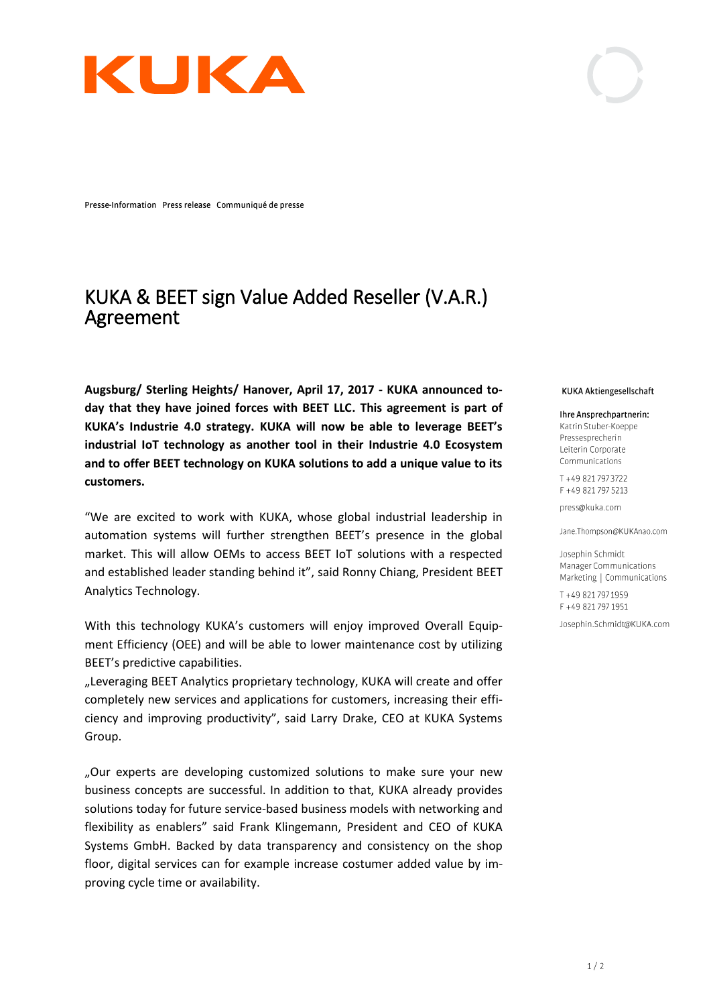

Presse-Information Press release Communiqué de presse

## KUKA & BEET sign Value Added Reseller (V.A.R.) Agreement

**Augsburg/ Sterling Heights/ Hanover, April 17, 2017 - KUKA announced today that they have joined forces with BEET LLC. This agreement is part of KUKA's Industrie 4.0 strategy. KUKA will now be able to leverage BEET's industrial IoT technology as another tool in their Industrie 4.0 Ecosystem and to offer BEET technology on KUKA solutions to add a unique value to its customers.** 

"We are excited to work with KUKA, whose global industrial leadership in automation systems will further strengthen BEET's presence in the global market. This will allow OEMs to access BEET IoT solutions with a respected and established leader standing behind it", said Ronny Chiang, President BEET Analytics Technology.

With this technology KUKA's customers will enjoy improved Overall Equipment Efficiency (OEE) and will be able to lower maintenance cost by utilizing BEET's predictive capabilities.

"Leveraging BEET Analytics proprietary technology, KUKA will create and offer completely new services and applications for customers, increasing their efficiency and improving productivity", said Larry Drake, CEO at KUKA Systems Group.

"Our experts are developing customized solutions to make sure your new business concepts are successful. In addition to that, KUKA already provides solutions today for future service-based business models with networking and flexibility as enablers" said Frank Klingemann, President and CEO of KUKA Systems GmbH. Backed by data transparency and consistency on the shop floor, digital services can for example increase costumer added value by improving cycle time or availability.

## KUKA Aktiengesellschaft

Ihre Ansprechpartnerin: Katrin Stuber-Koeppe Pressesprecherin Leiterin Corporate Communications

T +49 821 797 3722 F +49 821 797 5213

press@kuka.com

Jane.Thompson@KUKAnao.com

Josephin Schmidt Manager Communications Marketing | Communications

T +49 821 797 1959 F +49 821 797 1951

Josephin.Schmidt@KUKA.com